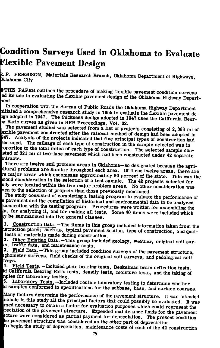## **Condition Surveys Used in Oklahoma to Evaluate Flexible Pavement Design**

**I. p. FERGUSON, Materials Research Branch, Oklahoma Department of Highways, ^lahoma City** 

**THIS PAPER outlines the procedure of making flexible pavement condition surveys** Ind its use in evaluating the flexible pavement design of the Oklahoma Highway Depart**lent.** 

**In cooperation with the Bureau of Public Roads the Oklahoma Highway Department litiated a comprehensive research study in 1955 to evaluate the flexible pavement deign adopted in 1947. The thickness design adopted in 1947 uses the California Bearig Ratio curves as given in HRB Proceedings, Vol. 22.** 

**The pavement studied was selected from a list of projects consisting of 2,388 mi of exible pavement constructed after the rational method of design had been adopted in )47. Analysis of the projects indicated that five principal types of construction had sen used. The mileage of each type of construction in the sample selected was in •oportion to the total miles of each type of construction. The selected sample consted of 321 mi of two-lane pavement which had been constructed under 42 separate mtracts.** 

**There are twelve soil problem areas in Oklahoma—so designated because the agri-Itural problems are similar throughout each area. Of these twelve areas, there are**  *re* **major areas which encompass approximately 80 percent of the state. This was the cond consideration in the selection of a test sample. The 42 projects selected for iidy were located within the five major problem areas. No other consideration was /en to the selection of projects than those previously mentioned.** 

**The study consisted of completing a testing program to evaluate the performance of 3 pavement and the compilation of historical and environmental data to be analyzed connection with the testing program. Procedures were written for assembling the ta, for analyzing it, and for making all tests. Some 40 items were included which ly be summarized into five general classes.** 

**1. Construction Data. —The items in this group included information taken from the istruction plans; such as, typical pavement section, type of construction, and qual**tests of materials made during construction.

2. Other Existing Data. - This group included geology, weather, original soil sur*ra,* **traffic data, and maintenance costs.** 

**3. Field Data. —This group included condition surveys of the pavement structure, ighometer surveys, field checks of the original soil surveys, and pedological soil •veys.** 

**4. Field Tests. —Included plate bearing tests, Benkelman beam deflection tests, .d California Bearing Ratio tests, density tests, moisture tests, and the taking of iples for laboratory testing.** 

**5. Laboratory Tests. —Included routine laboratory testing to determine whether d samples conformed to specifications for the subbase, base, and surface courses.** 

**Many factors determine the performance of the pavement structure. It was intended nclude in this study all the principal factors that could possibly be evaluated. It was med necessary to obtain a factor for evaluation purposes which could represent the reciation of the pavement structure. Expended maintenance funds for the pavement icture were considered as partial payment for depreciation. The present condition he pavement structure was considered as the other part of depreciation.** 

**To begin the study of depreciation, maintenance costs of each of the 42 construction**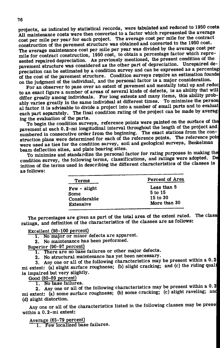**projects, as indicated by statistical records, were tabulated and reduced to 1950 costs All maintenance costs were then converted to a factor which represented the average cost per mile per year for each project. The average cost per mile for the contract construction of the pavement structure was obtained and converted to the 1950 cost. The average maintenance cost per mile per year was divided by the average cost per mile for contract construction, 1950 cost, to obtain a percentage factor which represented repaired depreciation. As previously mentioned, the present condition of the pavement structure was considered as the other part of depreciation. Unrepaired de**preciation can be estimated by a condition survey and can be expressed as a percentage **of the cost of the pavement structure. Condition surveys require an estimation founde on the judgment of the individual, and the personal factor is a major consideration.** 

**For an observer to pass over an extent of pavement and mentally total up and reduc to an exact figure a number of areas of several kinds of defects, is an ability that will differ greatly among individuals. For long extents and many items, this ability probably varies greatly in the same individual at different times. To minimize the person al factor it is advisable to divide a project into a number of small parts and to evaluat**  each part separately. The final condition rating of the project can be made by average **ing the evaluation of the parts.** 

**To begin the condition surveys, reference points were painted on the surface of the pavement at each 0.2-mi longitudinal interval throughout the length of the project and numbered in consecutive order from the beginning. The exact stations from the construction plans were determined for each of the reference points. The reference poir were used as ties for the condition survey, soil and geological surveys, Benkelman beam deflection sites, and plate bearing sites.** 

**To minimize and standardize the personal factor for rating purposes in making thel condition survey, the following terms, classifications, and ratings were adopted. Del**  inition of the terms used in describing the different characteristics of the classes is **as follows:** 

| Few - slight<br>Some<br>Considerable | Percent of Area                                        |  |  |
|--------------------------------------|--------------------------------------------------------|--|--|
| <b>Extensive</b>                     | Less than 5<br>5 to 15<br>$15$ to $30$<br>More than 30 |  |  |

**The percentages are given as part of the total area of the extent rated. The classl**  ratings, and definition of the characteristics of the classes are as follows:

**Excellent (98-100 percent)** 

**1. No major or minor defects are apparent.** 

**2. No maintenance has been performed.** 

**Superior (90-97 percent)** 

**1. There are no base failures or other major defects.** 

**2. No structural maintenance has yet been necessary.** 

**3. Any one or all of the following characteristics may be present within a 0.2|**  mi extent: (a) slight surface roughness; (b) slight cracking; and (c) the riding quali is impaired but very slightly.

Good (80-89 percent)<br>
1. No base failures.

2. Any one or all of the following characteristics may be present within a 0.2 **2.** Any one or all of the following characteristics may be present which can be a 0.200  $\mu$ **mi extent: (a) some surface roughness; (b) some cracking; (c) slight raveling; ancfl (d) slight distortion. •** 

**Any one or all of the characteristics listed in the following classes may be presel**  within a 0.2-mi extent:

**Average (65-79 percent)** 

**1. Few localized base failures.**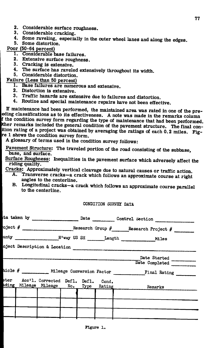- **2. Considerable surface roughness.**
- **3. Considerable cracking.**
- **4. Some raveling, especially in the outer wheel lanes and along the edges**
- **5. Some distortion.**

## **Poor (50-64 percent)**

- **T Considerable base failures.**
- **2. Extensive surface roughness.**
- **3. Cracking is extensive.**
- **4. The surface has raveled extensively throughout its width.**
- **5. Considerable distortion.**

## **Failure (Less than 50 percent)**

- **1. Base failures are numerous and extensive.**
- **2. Distortion is extensive.**
- **3. Traffic hazards are extensive due to failures and distortion.**
- **4. Routine and special maintenance repairs have not been effective.**

**If maintenance had been performed, the maintained area was rated in one of the pre- |eding classifications as to its effectiveness. A note was made in the remarks column ' the condition survey form regarding the type of maintenance that had been performed.**  *tther* **remarks included the general condition of the pavement structure. The final con**ition rating of a project was obtained by averaging the ratings of each 0.2 miles. Fig**t e 1 shows the condition survey form.** 

**A glossary of terms used in the condition survey follows:** 

**Pavement Structure; The traveled portion of the road consisting of the subbase, base, and surface.** 

**Surface Roughness; Inequalities in the pavement surface which adversely affect the riding quality.** 

- **Cracks; Approximately vertical cleavage due to natural causes or traffic action.** 
	- **Transverse cracks—a crack which follows an approximate course at right angles to the center line.**
	- **B. Longitudinal cracks—a crack which follows an approximate course parallel to the centerline.**

## **CONDITION SUHVET DATA**

|                                    |  |  | $\circ$ ject # __________________________Research Group # _______Research Project # ____________________ |  |  |  |
|------------------------------------|--|--|----------------------------------------------------------------------------------------------------------|--|--|--|
|                                    |  |  |                                                                                                          |  |  |  |
|                                    |  |  |                                                                                                          |  |  |  |
|                                    |  |  | Date Started                                                                                             |  |  |  |
|                                    |  |  | Date Completed                                                                                           |  |  |  |
|                                    |  |  | nicle # ___________ Mileage Conversion Factor ___________________________________                        |  |  |  |
| Acc'l. Corrected Defl. Defl. Cond. |  |  | ading Mileage Mileage No. Type Rating 1998 Remarks                                                       |  |  |  |
|                                    |  |  |                                                                                                          |  |  |  |
|                                    |  |  |                                                                                                          |  |  |  |
|                                    |  |  |                                                                                                          |  |  |  |
|                                    |  |  |                                                                                                          |  |  |  |
|                                    |  |  |                                                                                                          |  |  |  |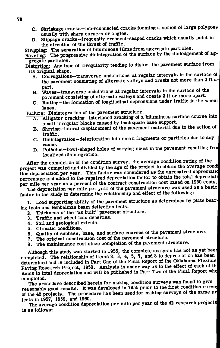- **C, Shrinkage cracks—interconnected cracks forming a series of large polygons usually with sharp corners or angles.**
- **D. Slippage cracks—frequently crescent-shaped cracks which usually point in the direction of the thrust of traffic.**

**Stripping; The separation of bituminous films from aggregate particles.** 

**Raveling: The progressive disintegration of the surface by the dislodgement of aggregate particles.** 

**Distortion; Any type of irregularity tending to distort the pavement surface from** 

- A. Corrugations-transverse undulations at regular intervals in the surface of A. Corrugations — transverse unduced at  $\frac{1}{2}$  and  $\frac{1}{2}$  and  $\frac{1}{2}$  and  $\frac{1}{2}$  and  $\frac{1}{2}$  and  $\frac{1}{2}$  and  $\frac{1}{2}$  and  $\frac{1}{2}$  and  $\frac{1}{2}$  and  $\frac{1}{2}$  and  $\frac{1}{2}$  and  $\frac{1}{2}$  and  $\frac{1}{2}$  and **the pavement consisting of alternate valleys and crests not more than 2 ft a-**
- part.<br>Waves-transverse undulations at regular intervals in the surface of the **B.** Waves—transverse undulations at regular intervals in the surface of the payement consisting of alternate valleys and crests 2 ft or more apart.
- C. Rutting-the formation of longitudinal depressions under traffic in the wheel **C. C.**  $\sum_{i=1}^{n}$  **C.**  $\sum_{i=1}^{n}$  **C.**  $\sum_{i=1}^{n}$  **C.**  $\sum_{i=1}^{n}$  **C.**  $\sum_{i=1}^{n}$  **C.**  $\sum_{i=1}^{n}$  **C.**  $\sum_{i=1}^{n}$  **C.**  $\sum_{i=1}^{n}$  **C.**  $\sum_{i=1}^{n}$  **C.**  $\sum_{i=1}^{n}$  **C.**  $\sum_{i=1}^{n}$  **C.**  $\sum_{i=1}^{n}$

Failure: Disintegration of the pavement structure.

- **A.** Alligator cracking-interlaced cracking of a bituminous surface course into small irregular blocks caused by inadequate base support.
- B. Shoving-lateral displacement of the pavement material due to the action of traffic. **B. Show in the showird displacement of the pavement of the particles due to any**
- **traffic.**
- cause.<br>D. Potholes-bowl-shaped holes of varying sizes in the pavement resulting from localized disintegration.

After the completion of the condition survey, the average condition rating of the project was computed and divided by the age of the project to obtain the average condi tion depreciation per year. This factor was considered as the unrepaired depreciation percentage and added to the repaired depreciation factor to obtain the total depreciati per mile per year as a percent of the contract construction cost based on 1950 costs.

The depreciation per mile per year of the pavement structure was used as a basic factor in the study to determine the relationship and effect of the following: **The department of the participation per year of the participation**  $\mathbf{A}$  is a basic beautiful as a basic  $\mathbf{A}$  basic  $\mathbf{A}$  basic  $\mathbf{A}$  basic  $\mathbf{A}$ 

**factor in the study in the study is and study in the study of the pavement structure as determined by parallel of the study of the study of the following study is and study in Leonard Study is and study is also study in L** ing tests and Benkelman beam deflection tests.

- 2. Thickness of the "as built" pavement structure.
- 3. Traffic and wheel load densities.
- 
- **4.** Soil and geological extents.<br>5. Climatic conditions.
- 6. Quality of subbase, base, and surface courses of the pavement structure.
- 7. The original construction cost of the pavement structure.
- **6. The original construction cost of the pavement structure.**<br>**C. The prejulences cost since completion of the pavement structure. 8.** The maintenance cost since completion of the pavement structure.

Although this study was started in 1955, the complete analysis has not as yet been completed. The relationship of items 2, 3, 4, 5, 7, and 8 to depreciation has been determined and is included in Part One of the Final Report of the Oklahoma Flexible Paving Research Project, 1958. Analysis is under way as to the effect of each of the items to total depreciation and will be published in Part Two of the Final Report whe **its to the published. its total department in Part Two of the Final Report when**  $\mathbf{A} = \mathbf{A} \mathbf{A} \mathbf{A} \mathbf{A} \mathbf{A}$ 

**c** The pro reasonably good results. It was developed in 1955 prior to the first condition survey of the 42 projects. The procedure has been used for making surveys of the same pricets in 1957, 1959, and 1960. **of the 42 projects. The projects** is a project in the same projects of the same projects in the same projects.

The average condition depreciation per mile per year of the set research projects **The average condition depreciation of the 42 research per year of the 42 research projects**  $\mathbf{a}$  research projects  $\mathbf{a}$  research projects  $\mathbf{a}$  respectively.